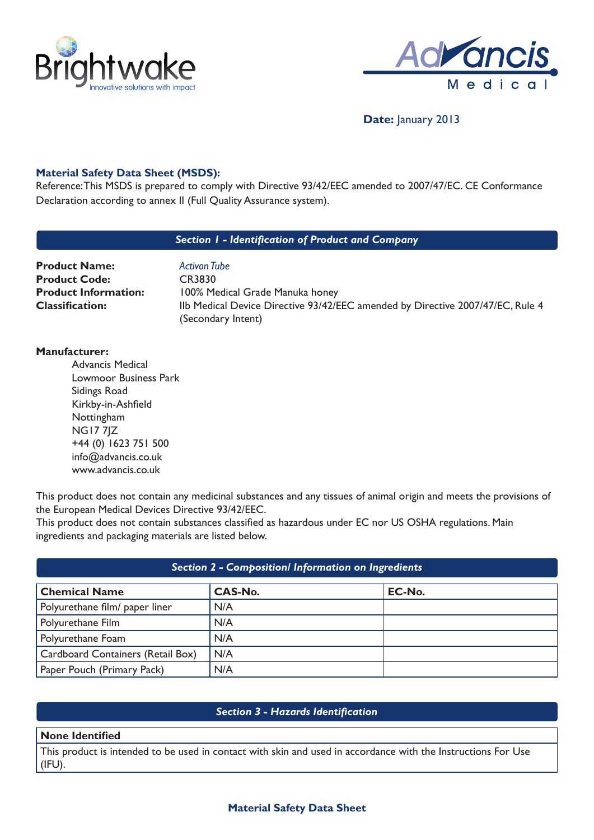



# **Date:** January 2013

## **Material Safety Data Sheet (MSDS):**

Reference: This MSDS is prepared to comply with Directive 93/42/EEC amended to 2007/47/EC. CE Conformance Declaration according to annex II (Full Quality Assurance system).

### *Section 1 - Identification of Product and Company*

| <b>Product Name:</b>        |
|-----------------------------|
| <b>Product Code:</b>        |
| <b>Product Information:</b> |
| <b>Classification:</b>      |

**Activon Tube Product Code:** CR3830 **100% Medical Grade Manuka honey** IIb Medical Device Directive 93/42/EEC amended by Directive 2007/47/EC, Rule 4 (Secondary Intent)

### **Manufacturer:**

Advancis Medical Lowmoor Business Park Sidings Road Kirkby-in-Ashfield Nottingham NG17 7JZ +44 (0) 1623 751 500 info@advancis.co.uk www.advancis.co.uk

This product does not contain any medicinal substances and any tissues of animal origin and meets the provisions of the European Medical Devices Directive 93/42/EEC.

This product does not contain substances classified as hazardous under EC nor US OSHA regulations. Main ingredients and packaging materials are listed below.

| <b>Section 2 - Composition/ Information on Ingredients</b> |                |        |  |
|------------------------------------------------------------|----------------|--------|--|
| <b>Chemical Name</b>                                       | <b>CAS-No.</b> | EC-No. |  |
| Polyurethane film/ paper liner                             | N/A            |        |  |
| Polyurethane Film                                          | N/A            |        |  |
| Polyurethane Foam                                          | N/A            |        |  |
| Cardboard Containers (Retail Box)                          | N/A            |        |  |
| Paper Pouch (Primary Pack)                                 | N/A            |        |  |

## *Section 3 - Hazards Identification*

#### **None Identified**

This product is intended to be used in contact with skin and used in accordance with the Instructions For Use (IFU).

## **Material Safety Data Sheet**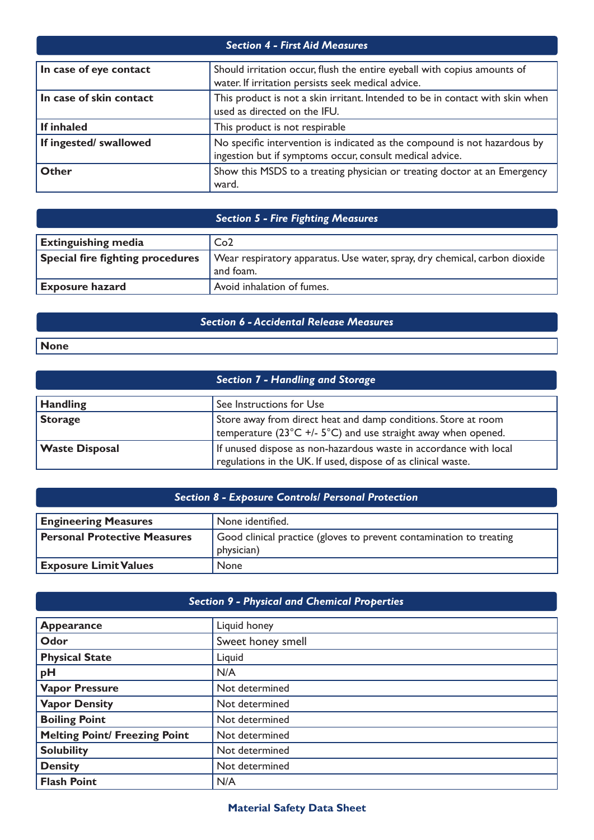| <b>Section 4 - First Aid Measures</b> |                                                                                                                                       |  |
|---------------------------------------|---------------------------------------------------------------------------------------------------------------------------------------|--|
| In case of eye contact                | Should irritation occur, flush the entire eyeball with copius amounts of<br>water. If irritation persists seek medical advice.        |  |
| In case of skin contact               | This product is not a skin irritant. Intended to be in contact with skin when<br>used as directed on the IFU.                         |  |
| If inhaled                            | This product is not respirable                                                                                                        |  |
| If ingested/ swallowed                | No specific intervention is indicated as the compound is not hazardous by<br>ingestion but if symptoms occur, consult medical advice. |  |
| <b>Other</b>                          | Show this MSDS to a treating physician or treating doctor at an Emergency<br>ward.                                                    |  |

# *Section 5 - Fire Fighting Measures*

| <b>Extinguishing media</b>              | Co <sub>2</sub>                                                                         |
|-----------------------------------------|-----------------------------------------------------------------------------------------|
| <b>Special fire fighting procedures</b> | Wear respiratory apparatus. Use water, spray, dry chemical, carbon dioxide<br>and foam. |
| <b>Exposure hazard</b>                  | Avoid inhalation of fumes.                                                              |

# *Section 6 - Accidental Release Measures*

**None**

|                       | <b>Section 7 - Handling and Storage</b>                                                                                                              |
|-----------------------|------------------------------------------------------------------------------------------------------------------------------------------------------|
| <b>Handling</b>       | See Instructions for Use                                                                                                                             |
| <b>Storage</b>        | Store away from direct heat and damp conditions. Store at room<br>temperature ( $23^{\circ}$ C +/- $5^{\circ}$ C) and use straight away when opened. |
| <b>Waste Disposal</b> | If unused dispose as non-hazardous waste in accordance with local<br>regulations in the UK. If used, dispose of as clinical waste.                   |

| <b>Section 8 - Exposure Controls/ Personal Protection</b> |                                                                                   |  |
|-----------------------------------------------------------|-----------------------------------------------------------------------------------|--|
| <b>Engineering Measures</b>                               | None identified.                                                                  |  |
| <b>Personal Protective Measures</b>                       | Good clinical practice (gloves to prevent contamination to treating<br>physician) |  |
| <b>Exposure Limit Values</b>                              | <b>None</b>                                                                       |  |

| <b>Section 9 - Physical and Chemical Properties</b> |                   |  |
|-----------------------------------------------------|-------------------|--|
| <b>Appearance</b>                                   | Liquid honey      |  |
| Odor                                                | Sweet honey smell |  |
| <b>Physical State</b>                               | Liquid            |  |
| pH                                                  | N/A               |  |
| <b>Vapor Pressure</b>                               | Not determined    |  |
| <b>Vapor Density</b>                                | Not determined    |  |
| <b>Boiling Point</b>                                | Not determined    |  |
| <b>Melting Point/ Freezing Point</b>                | Not determined    |  |
| <b>Solubility</b>                                   | Not determined    |  |
| <b>Density</b>                                      | Not determined    |  |
| <b>Flash Point</b>                                  | N/A               |  |

# **Material Safety Data Sheet**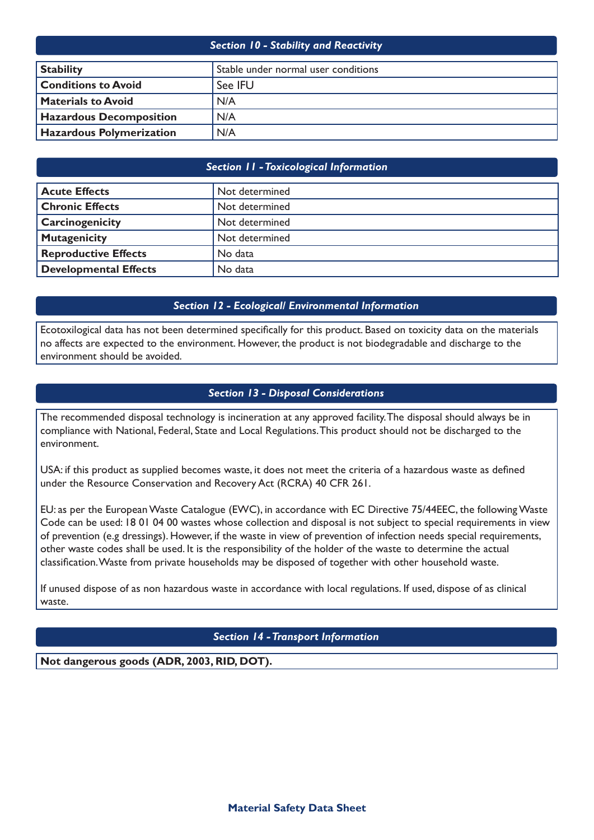| <b>Section 10 - Stability and Reactivity</b> |                                     |  |
|----------------------------------------------|-------------------------------------|--|
| <b>Stability</b>                             | Stable under normal user conditions |  |
| <b>Conditions to Avoid</b>                   | See IFU                             |  |
| <b>Materials to Avoid</b>                    | N/A                                 |  |
| <b>Hazardous Decomposition</b>               | N/A                                 |  |
| <b>Hazardous Polymerization</b>              | N/A                                 |  |

## *Section 11 - Toxicological Information*

| <b>Acute Effects</b>        | Not determined |
|-----------------------------|----------------|
| <b>Chronic Effects</b>      | Not determined |
| <b>Carcinogenicity</b>      | Not determined |
| Mutagenicity                | Not determined |
| <b>Reproductive Effects</b> | No data        |
| Developmental Effects       | No data        |

## *Section 12 - Ecological/ Environmental Information*

Ecotoxilogical data has not been determined specifically for this product. Based on toxicity data on the materials no affects are expected to the environment. However, the product is not biodegradable and discharge to the environment should be avoided.

### *Section 13 - Disposal Considerations*

The recommended disposal technology is incineration at any approved facility. The disposal should always be in compliance with National, Federal, State and Local Regulations. This product should not be discharged to the environment.

USA: if this product as supplied becomes waste, it does not meet the criteria of a hazardous waste as defined under the Resource Conservation and Recovery Act (RCRA) 40 CFR 261.

EU: as per the EuropeanWaste Catalogue (EWC), in accordance with EC Directive 75/44EEC, the followingWaste Code can be used: 18 01 04 00 wastes whose collection and disposal is not subject to special requirements in view of prevention (e.g dressings). However, if the waste in view of prevention of infection needs special requirements, other waste codes shall be used. It is the responsibility of the holder of the waste to determine the actual classification.Waste from private households may be disposed of together with other household waste.

If unused dispose of as non hazardous waste in accordance with local regulations. If used, dispose of as clinical waste.

## *Section 14 - Transport Information*

**Not dangerous goods (ADR, 2003, RID, DOT).**